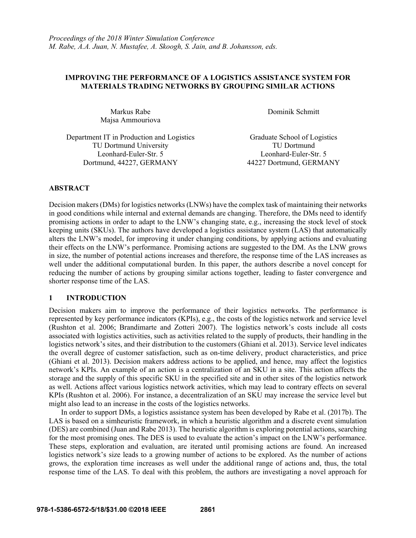# **IMPROVING THE PERFORMANCE OF A LOGISTICS ASSISTANCE SYSTEM FOR MATERIALS TRADING NETWORKS BY GROUPING SIMILAR ACTIONS**

Majsa Ammouriova

Markus Rabe Dominik Schmitt

Department IT in Production and Logistics Graduate School of Logistics TU Dortmund University TU Dortmund Leonhard-Euler-Str. 5 Leonhard-Euler-Str. 5 Dortmund, 44227, GERMANY 44227 Dortmund, GERMANY

# **ABSTRACT**

Decision makers (DMs) for logistics networks (LNWs) have the complex task of maintaining their networks in good conditions while internal and external demands are changing. Therefore, the DMs need to identify promising actions in order to adapt to the LNW's changing state, e.g., increasing the stock level of stock keeping units (SKUs). The authors have developed a logistics assistance system (LAS) that automatically alters the LNW's model, for improving it under changing conditions, by applying actions and evaluating their effects on the LNW's performance. Promising actions are suggested to the DM. As the LNW grows in size, the number of potential actions increases and therefore, the response time of the LAS increases as well under the additional computational burden. In this paper, the authors describe a novel concept for reducing the number of actions by grouping similar actions together, leading to faster convergence and shorter response time of the LAS.

# **1 INTRODUCTION**

Decision makers aim to improve the performance of their logistics networks. The performance is represented by key performance indicators (KPIs), e.g., the costs of the logistics network and service level (Rushton et al. 2006; Brandimarte and Zotteri 2007). The logistics network's costs include all costs associated with logistics activities, such as activities related to the supply of products, their handling in the logistics network's sites, and their distribution to the customers (Ghiani et al. 2013). Service level indicates the overall degree of customer satisfaction, such as on-time delivery, product characteristics, and price (Ghiani et al. 2013). Decision makers address actions to be applied, and hence, may affect the logistics network's KPIs. An example of an action is a centralization of an SKU in a site. This action affects the storage and the supply of this specific SKU in the specified site and in other sites of the logistics network as well. Actions affect various logistics network activities, which may lead to contrary effects on several KPIs (Rushton et al. 2006). For instance, a decentralization of an SKU may increase the service level but might also lead to an increase in the costs of the logistics networks.

In order to support DMs, a logistics assistance system has been developed by Rabe et al. (2017b). The LAS is based on a simheuristic framework, in which a heuristic algorithm and a discrete event simulation (DES) are combined (Juan and Rabe 2013). The heuristic algorithm is exploring potential actions, searching for the most promising ones. The DES is used to evaluate the action's impact on the LNW's performance. These steps, exploration and evaluation, are iterated until promising actions are found. An increased logistics network's size leads to a growing number of actions to be explored. As the number of actions grows, the exploration time increases as well under the additional range of actions and, thus, the total response time of the LAS. To deal with this problem, the authors are investigating a novel approach for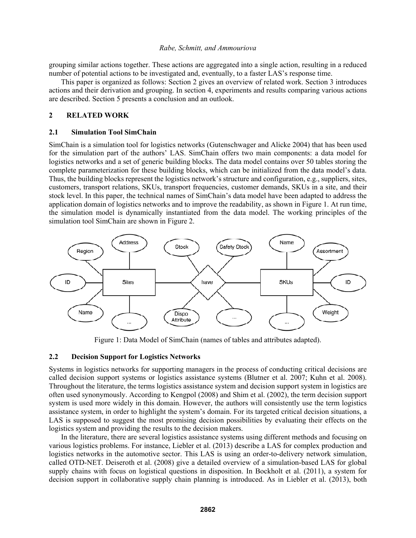grouping similar actions together. These actions are aggregated into a single action, resulting in a reduced number of potential actions to be investigated and, eventually, to a faster LAS's response time.

This paper is organized as follows: Section 2 gives an overview of related work. Section 3 introduces actions and their derivation and grouping. In section 4, experiments and results comparing various actions are described. Section 5 presents a conclusion and an outlook.

# **2 RELATED WORK**

#### **2.1 Simulation Tool SimChain**

SimChain is a simulation tool for logistics networks (Gutenschwager and Alicke 2004) that has been used for the simulation part of the authors' LAS. SimChain offers two main components: a data model for logistics networks and a set of generic building blocks. The data model contains over 50 tables storing the complete parameterization for these building blocks, which can be initialized from the data model's data. Thus, the building blocks represent the logistics network's structure and configuration, e.g., suppliers, sites, customers, transport relations, SKUs, transport frequencies, customer demands, SKUs in a site, and their stock level. In this paper, the technical names of SimChain's data model have been adapted to address the application domain of logistics networks and to improve the readability, as shown in Figure 1. At run time, the simulation model is dynamically instantiated from the data model. The working principles of the simulation tool SimChain are shown in Figure 2.



Figure 1: Data Model of SimChain (names of tables and attributes adapted).

## **2.2 Decision Support for Logistics Networks**

Systems in logistics networks for supporting managers in the process of conducting critical decisions are called decision support systems or logistics assistance systems (Blutner et al. 2007; Kuhn et al. 2008). Throughout the literature, the terms logistics assistance system and decision support system in logistics are often used synonymously. According to Kengpol (2008) and Shim et al. (2002), the term decision support system is used more widely in this domain. However, the authors will consistently use the term logistics assistance system, in order to highlight the system's domain. For its targeted critical decision situations, a LAS is supposed to suggest the most promising decision possibilities by evaluating their effects on the logistics system and providing the results to the decision makers.

In the literature, there are several logistics assistance systems using different methods and focusing on various logistics problems. For instance, Liebler et al. (2013) describe a LAS for complex production and logistics networks in the automotive sector. This LAS is using an order-to-delivery network simulation, called OTD-NET. Deiseroth et al. (2008) give a detailed overview of a simulation-based LAS for global supply chains with focus on logistical questions in disposition. In Bockholt et al. (2011), a system for decision support in collaborative supply chain planning is introduced. As in Liebler et al. (2013), both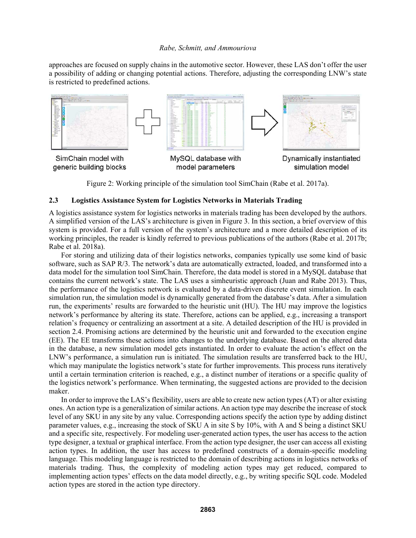approaches are focused on supply chains in the automotive sector. However, these LAS don't offer the user a possibility of adding or changing potential actions. Therefore, adjusting the corresponding LNW's state is restricted to predefined actions.



Figure 2: Working principle of the simulation tool SimChain (Rabe et al. 2017a).

# **2.3 Logistics Assistance System for Logistics Networks in Materials Trading**

A logistics assistance system for logistics networks in materials trading has been developed by the authors. A simplified version of the LAS's architecture is given in Figure 3. In this section, a brief overview of this system is provided. For a full version of the system's architecture and a more detailed description of its working principles, the reader is kindly referred to previous publications of the authors (Rabe et al. 2017b; Rabe et al. 2018a).

For storing and utilizing data of their logistics networks, companies typically use some kind of basic software, such as SAP R/3. The network's data are automatically extracted, loaded, and transformed into a data model for the simulation tool SimChain. Therefore, the data model is stored in a MySQL database that contains the current network's state. The LAS uses a simheuristic approach (Juan and Rabe 2013). Thus, the performance of the logistics network is evaluated by a data-driven discrete event simulation. In each simulation run, the simulation model is dynamically generated from the database's data. After a simulation run, the experiments' results are forwarded to the heuristic unit (HU). The HU may improve the logistics network's performance by altering its state. Therefore, actions can be applied, e.g., increasing a transport relation's frequency or centralizing an assortment at a site. A detailed description of the HU is provided in section 2.4. Promising actions are determined by the heuristic unit and forwarded to the execution engine (EE). The EE transforms these actions into changes to the underlying database. Based on the altered data in the database, a new simulation model gets instantiated. In order to evaluate the action's effect on the LNW's performance, a simulation run is initiated. The simulation results are transferred back to the HU, which may manipulate the logistics network's state for further improvements. This process runs iteratively until a certain termination criterion is reached, e.g., a distinct number of iterations or a specific quality of the logistics network's performance. When terminating, the suggested actions are provided to the decision maker.

In order to improve the LAS's flexibility, users are able to create new action types (AT) or alter existing ones. An action type is a generalization of similar actions. An action type may describe the increase of stock level of any SKU in any site by any value. Corresponding actions specify the action type by adding distinct parameter values, e.g., increasing the stock of SKU A in site S by 10%, with A and S being a distinct SKU and a specific site, respectively. For modeling user-generated action types, the user has access to the action type designer, a textual or graphical interface. From the action type designer, the user can access all existing action types. In addition, the user has access to predefined constructs of a domain-specific modeling language. This modeling language is restricted to the domain of describing actions in logistics networks of materials trading. Thus, the complexity of modeling action types may get reduced, compared to implementing action types' effects on the data model directly, e.g., by writing specific SQL code. Modeled action types are stored in the action type directory.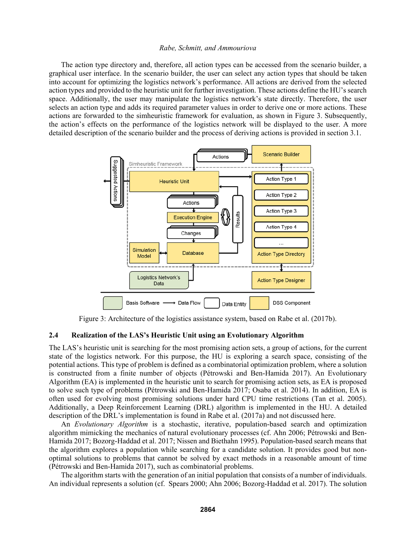The action type directory and, therefore, all action types can be accessed from the scenario builder, a graphical user interface. In the scenario builder, the user can select any action types that should be taken into account for optimizing the logistics network's performance. All actions are derived from the selected action types and provided to the heuristic unit for further investigation. These actions define the HU's search space. Additionally, the user may manipulate the logistics network's state directly. Therefore, the user selects an action type and adds its required parameter values in order to derive one or more actions. These actions are forwarded to the simheuristic framework for evaluation, as shown in Figure 3. Subsequently, the action's effects on the performance of the logistics network will be displayed to the user. A more detailed description of the scenario builder and the process of deriving actions is provided in section 3.1.



Figure 3: Architecture of the logistics assistance system, based on Rabe et al. (2017b).

### **2.4 Realization of the LAS's Heuristic Unit using an Evolutionary Algorithm**

The LAS's heuristic unit is searching for the most promising action sets, a group of actions, for the current state of the logistics network. For this purpose, the HU is exploring a search space, consisting of the potential actions. This type of problem is defined as a combinatorial optimization problem, where a solution is constructed from a finite number of objects (Pétrowski and Ben-Hamida 2017). An Evolutionary Algorithm (EA) is implemented in the heuristic unit to search for promising action sets, as EA is proposed to solve such type of problems (Pétrowski and Ben-Hamida 2017; Osaba et al. 2014). In addition, EA is often used for evolving most promising solutions under hard CPU time restrictions (Tan et al. 2005). Additionally, a Deep Reinforcement Learning (DRL) algorithm is implemented in the HU. A detailed description of the DRL's implementation is found in Rabe et al. (2017a) and not discussed here.

An *Evolutionary Algorithm* is a stochastic, iterative, population-based search and optimization algorithm mimicking the mechanics of natural evolutionary processes (cf. Ahn 2006; Pétrowski and Ben-Hamida 2017; Bozorg-Haddad et al. 2017; Nissen and Biethahn 1995). Population-based search means that the algorithm explores a population while searching for a candidate solution. It provides good but nonoptimal solutions to problems that cannot be solved by exact methods in a reasonable amount of time (Pétrowski and Ben-Hamida 2017), such as combinatorial problems.

The algorithm starts with the generation of an initial population that consists of a number of individuals. An individual represents a solution (cf. Spears 2000; Ahn 2006; Bozorg-Haddad et al. 2017). The solution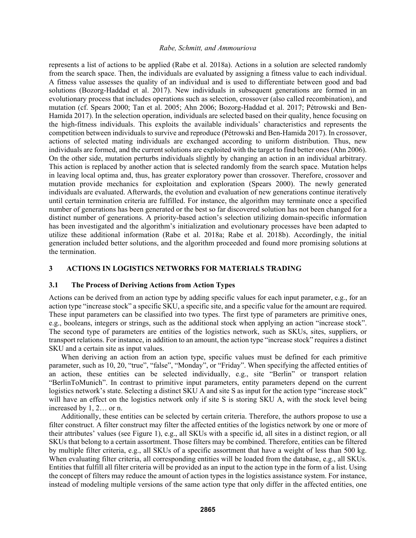represents a list of actions to be applied (Rabe et al. 2018a). Actions in a solution are selected randomly from the search space. Then, the individuals are evaluated by assigning a fitness value to each individual. A fitness value assesses the quality of an individual and is used to differentiate between good and bad solutions (Bozorg-Haddad et al. 2017). New individuals in subsequent generations are formed in an evolutionary process that includes operations such as selection, crossover (also called recombination), and mutation (cf. Spears 2000; Tan et al. 2005; Ahn 2006; Bozorg-Haddad et al. 2017; Pétrowski and Ben-Hamida 2017). In the selection operation, individuals are selected based on their quality, hence focusing on the high-fitness individuals. This exploits the available individuals' characteristics and represents the competition between individuals to survive and reproduce (Pétrowski and Ben-Hamida 2017). In crossover, actions of selected mating individuals are exchanged according to uniform distribution. Thus, new individuals are formed, and the current solutions are exploited with the target to find better ones (Ahn 2006). On the other side, mutation perturbs individuals slightly by changing an action in an individual arbitrary. This action is replaced by another action that is selected randomly from the search space. Mutation helps in leaving local optima and, thus, has greater exploratory power than crossover. Therefore, crossover and mutation provide mechanics for exploitation and exploration (Spears 2000). The newly generated individuals are evaluated. Afterwards, the evolution and evaluation of new generations continue iteratively until certain termination criteria are fulfilled. For instance, the algorithm may terminate once a specified number of generations has been generated or the best so far discovered solution has not been changed for a distinct number of generations. A priority-based action's selection utilizing domain-specific information has been investigated and the algorithm's initialization and evolutionary processes have been adapted to utilize these additional information (Rabe et al. 2018a; Rabe et al. 2018b). Accordingly, the initial generation included better solutions, and the algorithm proceeded and found more promising solutions at the termination.

# **3 ACTIONS IN LOGISTICS NETWORKS FOR MATERIALS TRADING**

### **3.1 The Process of Deriving Actions from Action Types**

Actions can be derived from an action type by adding specific values for each input parameter, e.g., for an action type "increase stock" a specific SKU, a specific site, and a specific value for the amount are required. These input parameters can be classified into two types. The first type of parameters are primitive ones, e.g., booleans, integers or strings, such as the additional stock when applying an action "increase stock". The second type of parameters are entities of the logistics network, such as SKUs, sites, suppliers, or transport relations. For instance, in addition to an amount, the action type "increase stock" requires a distinct SKU and a certain site as input values.

When deriving an action from an action type, specific values must be defined for each primitive parameter, such as 10, 20, "true", "false", "Monday", or "Friday". When specifying the affected entities of an action, these entities can be selected individually, e.g., site "Berlin" or transport relation "BerlinToMunich". In contrast to primitive input parameters, entity parameters depend on the current logistics network's state. Selecting a distinct SKU A and site S as input for the action type "increase stock" will have an effect on the logistics network only if site S is storing SKU A, with the stock level being increased by 1, 2… or n.

Additionally, these entities can be selected by certain criteria. Therefore, the authors propose to use a filter construct. A filter construct may filter the affected entities of the logistics network by one or more of their attributes' values (see Figure 1), e.g., all SKUs with a specific id, all sites in a distinct region, or all SKUs that belong to a certain assortment. Those filters may be combined. Therefore, entities can be filtered by multiple filter criteria, e.g., all SKUs of a specific assortment that have a weight of less than 500 kg. When evaluating filter criteria, all corresponding entities will be loaded from the database, e.g., all SKUs. Entities that fulfill all filter criteria will be provided as an input to the action type in the form of a list. Using the concept of filters may reduce the amount of action types in the logistics assistance system. For instance, instead of modeling multiple versions of the same action type that only differ in the affected entities, one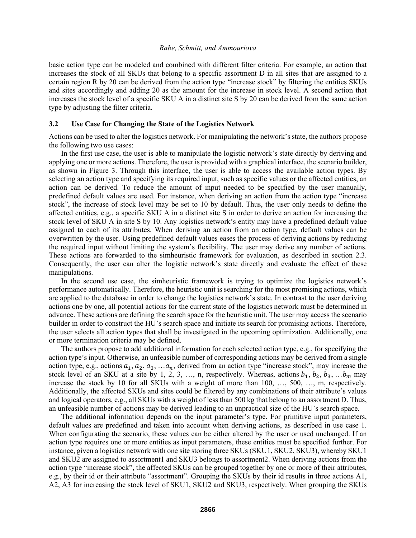basic action type can be modeled and combined with different filter criteria. For example, an action that increases the stock of all SKUs that belong to a specific assortment D in all sites that are assigned to a certain region R by 20 can be derived from the action type "increase stock" by filtering the entities SKUs and sites accordingly and adding 20 as the amount for the increase in stock level. A second action that increases the stock level of a specific SKU A in a distinct site S by 20 can be derived from the same action type by adjusting the filter criteria.

#### **3.2 Use Case for Changing the State of the Logistics Network**

Actions can be used to alter the logistics network. For manipulating the network's state, the authors propose the following two use cases:

In the first use case, the user is able to manipulate the logistic network's state directly by deriving and applying one or more actions. Therefore, the user is provided with a graphical interface, the scenario builder, as shown in Figure 3. Through this interface, the user is able to access the available action types. By selecting an action type and specifying its required input, such as specific values or the affected entities, an action can be derived. To reduce the amount of input needed to be specified by the user manually, predefined default values are used. For instance, when deriving an action from the action type "increase stock", the increase of stock level may be set to 10 by default. Thus, the user only needs to define the affected entities, e.g., a specific SKU A in a distinct site S in order to derive an action for increasing the stock level of SKU A in site S by 10. Any logistics network's entity may have a predefined default value assigned to each of its attributes. When deriving an action from an action type, default values can be overwritten by the user. Using predefined default values eases the process of deriving actions by reducing the required input without limiting the system's flexibility. The user may derive any number of actions. These actions are forwarded to the simheuristic framework for evaluation, as described in section 2.3. Consequently, the user can alter the logistic network's state directly and evaluate the effect of these manipulations.

In the second use case, the simheuristic framework is trying to optimize the logistics network's performance automatically. Therefore, the heuristic unit is searching for the most promising actions, which are applied to the database in order to change the logistics network's state. In contrast to the user deriving actions one by one, all potential actions for the current state of the logistics network must be determined in advance. These actions are defining the search space for the heuristic unit. The user may access the scenario builder in order to construct the HU's search space and initiate its search for promising actions. Therefore, the user selects all action types that shall be investigated in the upcoming optimization. Additionally, one or more termination criteria may be defined.

The authors propose to add additional information for each selected action type, e.g., for specifying the action type's input. Otherwise, an unfeasible number of corresponding actions may be derived from a single action type, e.g., actions  $a_1, a_2, a_3, \ldots a_n$ , derived from an action type "increase stock", may increase the stock level of an SKU at a site by 1, 2, 3, ..., n, respectively. Whereas, actions  $b_1$ ,  $b_2$ ,  $b_3$ , ... $b_m$  may increase the stock by 10 for all SKUs with a weight of more than 100, …, 500, …, m, respectively. Additionally, the affected SKUs and sites could be filtered by any combinations of their attribute's values and logical operators, e.g., all SKUs with a weight of less than 500 kg that belong to an assortment D. Thus, an unfeasible number of actions may be derived leading to an unpractical size of the HU's search space.

The additional information depends on the input parameter's type. For primitive input parameters, default values are predefined and taken into account when deriving actions, as described in use case 1. When configurating the scenario, these values can be either altered by the user or used unchanged. If an action type requires one or more entities as input parameters, these entities must be specified further. For instance, given a logistics network with one site storing three SKUs (SKU1, SKU2, SKU3), whereby SKU1 and SKU2 are assigned to assortment1 and SKU3 belongs to assortment2. When deriving actions from the action type "increase stock", the affected SKUs can be grouped together by one or more of their attributes, e.g., by their id or their attribute "assortment". Grouping the SKUs by their id results in three actions A1, A2, A3 for increasing the stock level of SKU1, SKU2 and SKU3, respectively. When grouping the SKUs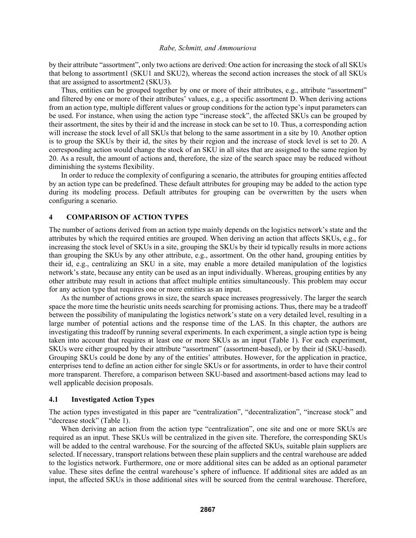by their attribute "assortment", only two actions are derived: One action for increasing the stock of all SKUs that belong to assortment1 (SKU1 and SKU2), whereas the second action increases the stock of all SKUs that are assigned to assortment2 (SKU3).

Thus, entities can be grouped together by one or more of their attributes, e.g., attribute "assortment" and filtered by one or more of their attributes' values, e.g., a specific assortment D. When deriving actions from an action type, multiple different values or group conditions for the action type's input parameters can be used. For instance, when using the action type "increase stock", the affected SKUs can be grouped by their assortment, the sites by their id and the increase in stock can be set to 10. Thus, a corresponding action will increase the stock level of all SKUs that belong to the same assortment in a site by 10. Another option is to group the SKUs by their id, the sites by their region and the increase of stock level is set to 20. A corresponding action would change the stock of an SKU in all sites that are assigned to the same region by 20. As a result, the amount of actions and, therefore, the size of the search space may be reduced without diminishing the systems flexibility.

In order to reduce the complexity of configuring a scenario, the attributes for grouping entities affected by an action type can be predefined. These default attributes for grouping may be added to the action type during its modeling process. Default attributes for grouping can be overwritten by the users when configuring a scenario.

## **4 COMPARISON OF ACTION TYPES**

The number of actions derived from an action type mainly depends on the logistics network's state and the attributes by which the required entities are grouped. When deriving an action that affects SKUs, e.g., for increasing the stock level of SKUs in a site, grouping the SKUs by their id typically results in more actions than grouping the SKUs by any other attribute, e.g., assortment. On the other hand, grouping entities by their id, e.g., centralizing an SKU in a site, may enable a more detailed manipulation of the logistics network's state, because any entity can be used as an input individually. Whereas, grouping entities by any other attribute may result in actions that affect multiple entities simultaneously. This problem may occur for any action type that requires one or more entities as an input.

As the number of actions grows in size, the search space increases progressively. The larger the search space the more time the heuristic units needs searching for promising actions. Thus, there may be a tradeoff between the possibility of manipulating the logistics network's state on a very detailed level, resulting in a large number of potential actions and the response time of the LAS. In this chapter, the authors are investigating this tradeoff by running several experiments. In each experiment, a single action type is being taken into account that requires at least one or more SKUs as an input (Table 1). For each experiment, SKUs were either grouped by their attribute "assortment" (assortment-based), or by their id (SKU-based). Grouping SKUs could be done by any of the entities' attributes. However, for the application in practice, enterprises tend to define an action either for single SKUs or for assortments, in order to have their control more transparent. Therefore, a comparison between SKU-based and assortment-based actions may lead to well applicable decision proposals.

#### **4.1 Investigated Action Types**

The action types investigated in this paper are "centralization", "decentralization", "increase stock" and "decrease stock" (Table 1).

When deriving an action from the action type "centralization", one site and one or more SKUs are required as an input. These SKUs will be centralized in the given site. Therefore, the corresponding SKUs will be added to the central warehouse. For the sourcing of the affected SKUs, suitable plain suppliers are selected. If necessary, transport relations between these plain suppliers and the central warehouse are added to the logistics network. Furthermore, one or more additional sites can be added as an optional parameter value. These sites define the central warehouse's sphere of influence. If additional sites are added as an input, the affected SKUs in those additional sites will be sourced from the central warehouse. Therefore,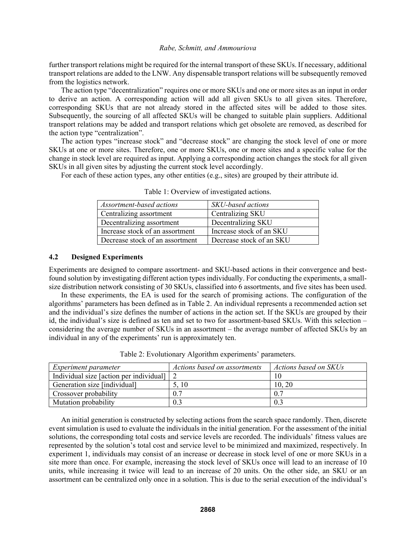further transport relations might be required for the internal transport of these SKUs. If necessary, additional transport relations are added to the LNW. Any dispensable transport relations will be subsequently removed from the logistics network.

The action type "decentralization" requires one or more SKUs and one or more sites as an input in order to derive an action. A corresponding action will add all given SKUs to all given sites. Therefore, corresponding SKUs that are not already stored in the affected sites will be added to those sites. Subsequently, the sourcing of all affected SKUs will be changed to suitable plain suppliers. Additional transport relations may be added and transport relations which get obsolete are removed, as described for the action type "centralization".

The action types "increase stock" and "decrease stock" are changing the stock level of one or more SKUs at one or more sites. Therefore, one or more SKUs, one or more sites and a specific value for the change in stock level are required as input. Applying a corresponding action changes the stock for all given SKUs in all given sites by adjusting the current stock level accordingly.

For each of these action types, any other entities (e.g., sites) are grouped by their attribute id.

| Assortment-based actions        | SKU-based actions        |
|---------------------------------|--------------------------|
| Centralizing assortment         | Centralizing SKU         |
| Decentralizing assortment       | Decentralizing SKU       |
| Increase stock of an assortment | Increase stock of an SKU |
| Decrease stock of an assortment | Decrease stock of an SKU |

Table 1: Overview of investigated actions.

# **4.2 Designed Experiments**

Experiments are designed to compare assortment- and SKU-based actions in their convergence and bestfound solution by investigating different action types individually. For conducting the experiments, a smallsize distribution network consisting of 30 SKUs, classified into 6 assortments, and five sites has been used.

In these experiments, the EA is used for the search of promising actions. The configuration of the algorithms' parameters has been defined as in Table 2. An individual represents a recommended action set and the individual's size defines the number of actions in the action set. If the SKUs are grouped by their id, the individual's size is defined as ten and set to two for assortment-based SKUs. With this selection – considering the average number of SKUs in an assortment – the average number of affected SKUs by an individual in any of the experiments' run is approximately ten.

| <i>Experiment parameter</i>             | Actions based on assortments | Actions based on SKUs |
|-----------------------------------------|------------------------------|-----------------------|
| Individual size [action per individual] |                              |                       |
| Generation size [individual]            | 5, 10                        | 10, 20                |
| Crossover probability                   | 0.7                          |                       |
| Mutation probability                    | 0.3                          |                       |

Table 2: Evolutionary Algorithm experiments' parameters.

An initial generation is constructed by selecting actions from the search space randomly. Then, discrete event simulation is used to evaluate the individuals in the initial generation. For the assessment of the initial solutions, the corresponding total costs and service levels are recorded. The individuals' fitness values are represented by the solution's total cost and service level to be minimized and maximized, respectively. In experiment 1, individuals may consist of an increase or decrease in stock level of one or more SKUs in a site more than once. For example, increasing the stock level of SKUs once will lead to an increase of 10 units, while increasing it twice will lead to an increase of 20 units. On the other side, an SKU or an assortment can be centralized only once in a solution. This is due to the serial execution of the individual's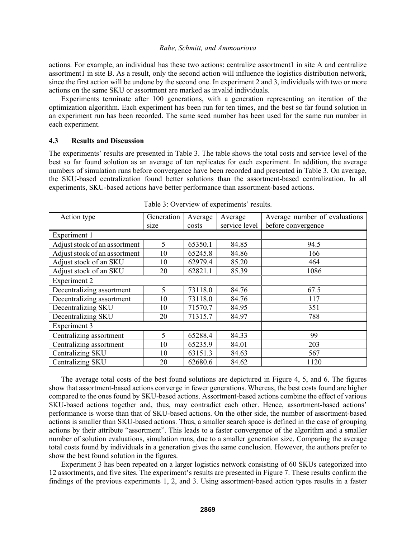actions. For example, an individual has these two actions: centralize assortment1 in site A and centralize assortment1 in site B. As a result, only the second action will influence the logistics distribution network, since the first action will be undone by the second one. In experiment 2 and 3, individuals with two or more actions on the same SKU or assortment are marked as invalid individuals.

Experiments terminate after 100 generations, with a generation representing an iteration of the optimization algorithm. Each experiment has been run for ten times, and the best so far found solution in an experiment run has been recorded. The same seed number has been used for the same run number in each experiment.

### **4.3 Results and Discussion**

The experiments' results are presented in Table 3. The table shows the total costs and service level of the best so far found solution as an average of ten replicates for each experiment. In addition, the average numbers of simulation runs before convergence have been recorded and presented in Table 3. On average, the SKU-based centralization found better solutions than the assortment-based centralization. In all experiments, SKU-based actions have better performance than assortment-based actions.

| Action type                   | Generation | Average | Average       | Average number of evaluations |
|-------------------------------|------------|---------|---------------|-------------------------------|
|                               | size       | costs   | service level | before convergence            |
| Experiment 1                  |            |         |               |                               |
| Adjust stock of an assortment | 5          | 65350.1 | 84.85         | 94.5                          |
| Adjust stock of an assortment | 10         | 65245.8 | 84.86         | 166                           |
| Adjust stock of an SKU        | 10         | 62979.4 | 85.20         | 464                           |
| Adjust stock of an SKU        | 20         | 62821.1 | 85.39         | 1086                          |
| <b>Experiment 2</b>           |            |         |               |                               |
| Decentralizing assortment     | 5          | 73118.0 | 84.76         | 67.5                          |
| Decentralizing assortment     | 10         | 73118.0 | 84.76         | 117                           |
| Decentralizing SKU            | 10         | 71570.7 | 84.95         | 351                           |
| Decentralizing SKU            | 20         | 71315.7 | 84.97         | 788                           |
| Experiment 3                  |            |         |               |                               |
| Centralizing assortment       | 5          | 65288.4 | 84.33         | 99                            |
| Centralizing assortment       | 10         | 65235.9 | 84.01         | 203                           |
| Centralizing SKU              | 10         | 63151.3 | 84.63         | 567                           |
| Centralizing SKU              | 20         | 62680.6 | 84.62         | 1120                          |

Table 3: Overview of experiments' results.

The average total costs of the best found solutions are depictured in Figure 4, 5, and 6. The figures show that assortment-based actions converge in fewer generations. Whereas, the best costs found are higher compared to the ones found by SKU-based actions. Assortment-based actions combine the effect of various SKU-based actions together and, thus, may contradict each other. Hence, assortment-based actions' performance is worse than that of SKU-based actions. On the other side, the number of assortment-based actions is smaller than SKU-based actions. Thus, a smaller search space is defined in the case of grouping actions by their attribute "assortment". This leads to a faster convergence of the algorithm and a smaller number of solution evaluations, simulation runs, due to a smaller generation size. Comparing the average total costs found by individuals in a generation gives the same conclusion. However, the authors prefer to show the best found solution in the figures.

Experiment 3 has been repeated on a larger logistics network consisting of 60 SKUs categorized into 12 assortments, and five sites. The experiment's results are presented in Figure 7. These results confirm the findings of the previous experiments 1, 2, and 3. Using assortment-based action types results in a faster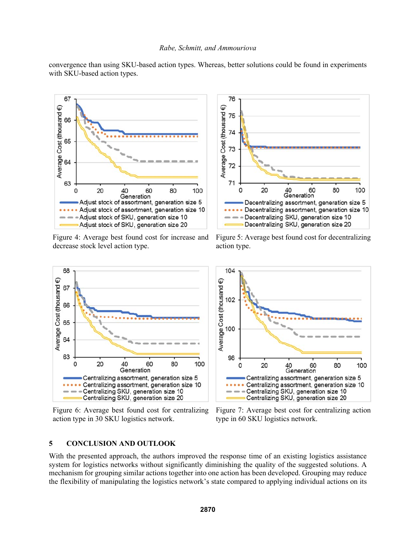convergence than using SKU-based action types. Whereas, better solutions could be found in experiments with SKU-based action types.



Figure 4: Average best found cost for increase and decrease stock level action type.



Figure 6: Average best found cost for centralizing action type in 30 SKU logistics network.

# 76 Average Cost (thousand €) 75 74 73 72 71 40 60<br>Generation 20 60 80 100 0 Decentralizing assortment, generation size 5 Decentralizing assortment, generation size 10 - Decentralizing SKU, generation size 10 Decentralizing SKU, generation size 20

Figure 5: Average best found cost for decentralizing action type.



Figure 7: Average best cost for centralizing action type in 60 SKU logistics network.

### **5 CONCLUSION AND OUTLOOK**

With the presented approach, the authors improved the response time of an existing logistics assistance system for logistics networks without significantly diminishing the quality of the suggested solutions. A mechanism for grouping similar actions together into one action has been developed. Grouping may reduce the flexibility of manipulating the logistics network's state compared to applying individual actions on its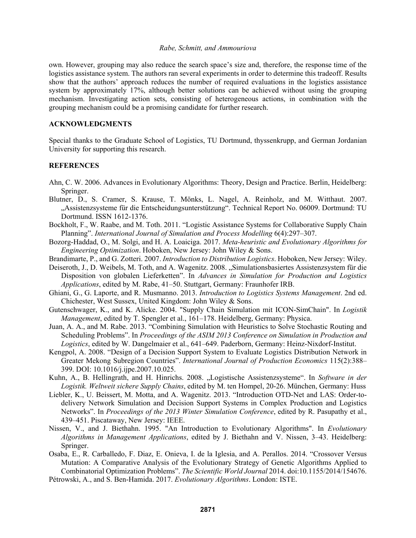own. However, grouping may also reduce the search space's size and, therefore, the response time of the logistics assistance system. The authors ran several experiments in order to determine this tradeoff. Results show that the authors' approach reduces the number of required evaluations in the logistics assistance system by approximately 17%, although better solutions can be achieved without using the grouping mechanism. Investigating action sets, consisting of heterogeneous actions, in combination with the grouping mechanism could be a promising candidate for further research.

# **ACKNOWLEDGMENTS**

Special thanks to the Graduate School of Logistics, TU Dortmund, thyssenkrupp, and German Jordanian University for supporting this research.

# **REFERENCES**

- Ahn, C. W. 2006. Advances in Evolutionary Algorithms: Theory, Design and Practice. Berlin, Heidelberg: Springer.
- Blutner, D., S. Cramer, S. Krause, T. Mönks, L. Nagel, A. Reinholz, and M. Witthaut. 2007. "Assistenzsysteme für die Entscheidungsunterstützung". Technical Report No. 06009. Dortmund: TU Dortmund. ISSN 1612-1376.
- Bockholt, F., W. Raabe, and M. Toth. 2011. "Logistic Assistance Systems for Collaborative Supply Chain Planning". *International Journal of Simulation and Process Modelling* 6(4):297–307.
- Bozorg-Haddad, O., M. Solgi, and H. A. Loaiciga. 2017. *Meta-heuristic and Evolutionary Algorithms for Engineering Optimization*. Hoboken, New Jersey: John Wiley & Sons.
- Brandimarte, P., and G. Zotteri. 2007. *Introduction to Distribution Logistics*. Hoboken, New Jersey: Wiley.
- Deiseroth, J., D. Weibels, M. Toth, and A. Wagenitz. 2008. "Simulationsbasiertes Assistenzsystem für die Disposition von globalen Lieferketten". In *Advances in Simulation for Production and Logistics Applications*, edited by M. Rabe, 41–50. Stuttgart, Germany: Fraunhofer IRB.
- Ghiani, G., G. Laporte, and R. Musmanno. 2013. *Introduction to Logistics Systems Management*. 2nd ed. Chichester, West Sussex, United Kingdom: John Wiley & Sons.
- Gutenschwager, K., and K. Alicke. 2004. "Supply Chain Simulation mit ICON-SimChain". In *Logistik Management*, edited by T. Spengler et al., 161–178. Heidelberg, Germany: Physica.
- Juan, A. A., and M. Rabe. 2013. "Combining Simulation with Heuristics to Solve Stochastic Routing and Scheduling Problems". In *Proceedings of the ASIM 2013 Conference on Simulation in Production and Logistics*, edited by W. Dangelmaier et al., 641–649. Paderborn, Germany: Heinz-Nixdorf-Institut.
- Kengpol, A. 2008. "Design of a Decision Support System to Evaluate Logistics Distribution Network in Greater Mekong Subregion Countries". *International Journal of Production Economics* 115(2):388– 399. DOI: 10.1016/j.ijpe.2007.10.025.
- Kuhn, A., B. Hellingrath, and H. Hinrichs. 2008. "Logistische Assistenzsysteme". In Software in der *Logistik. Weltweit sichere Supply Chains*, edited by M. ten Hompel, 20-26. München, Germany: Huss
- Liebler, K., U. Beissert, M. Motta, and A. Wagenitz. 2013. "Introduction OTD-Net and LAS: Order-todelivery Network Simulation and Decision Support Systems in Complex Production and Logistics Networks". In *Proceedings of the 2013 Winter Simulation Conference*, edited by R. Pasupathy et al., 439–451. Piscataway, New Jersey: IEEE.
- Nissen, V., and J. Biethahn. 1995. "An Introduction to Evolutionary Algorithms". In *Evolutionary Algorithms in Management Applications*, edited by J. Biethahn and V. Nissen, 3–43. Heidelberg: Springer.
- Osaba, E., R. Carballedo, F. Diaz, E. Onieva, I. de la Iglesia, and A. Perallos. 2014. "Crossover Versus Mutation: A Comparative Analysis of the Evolutionary Strategy of Genetic Algorithms Applied to Combinatorial Optimization Problems". *The Scientific World Journal* 2014. doi:10.1155/2014/154676.
- Pétrowski, A., and S. Ben-Hamida. 2017. *Evolutionary Algorithms*. London: ISTE.